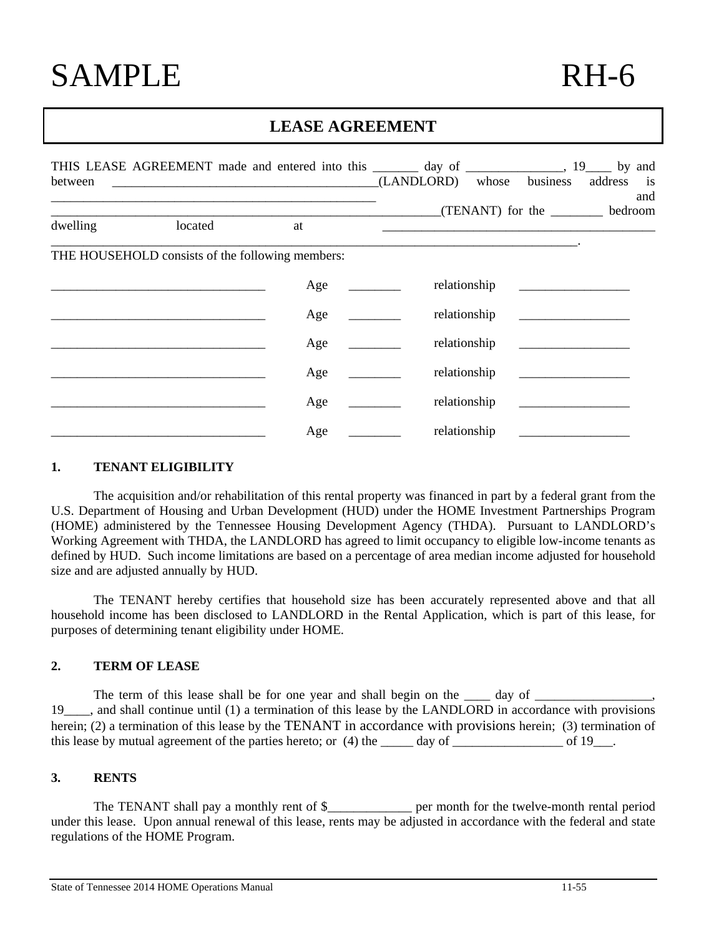# **LEASE AGREEMENT**

| between  | THIS LEASE AGREEMENT made and entered into this ________ day of ______________, 19_____ by and<br>(LANDLORD) whose business address is |     |                                        |              |     |  |
|----------|----------------------------------------------------------------------------------------------------------------------------------------|-----|----------------------------------------|--------------|-----|--|
| dwelling | located                                                                                                                                | at  | (TENANT) for the <u>second</u> bedroom |              | and |  |
|          | THE HOUSEHOLD consists of the following members:                                                                                       |     |                                        |              |     |  |
|          |                                                                                                                                        | Age | relationship                           |              |     |  |
|          |                                                                                                                                        | Age | relationship                           |              |     |  |
|          |                                                                                                                                        | Age |                                        | relationship |     |  |
|          |                                                                                                                                        | Age | relationship                           |              |     |  |
|          |                                                                                                                                        | Age |                                        | relationship |     |  |
|          |                                                                                                                                        | Age | relationship                           |              |     |  |

#### **1. TENANT ELIGIBILITY**

The acquisition and/or rehabilitation of this rental property was financed in part by a federal grant from the U.S. Department of Housing and Urban Development (HUD) under the HOME Investment Partnerships Program (HOME) administered by the Tennessee Housing Development Agency (THDA). Pursuant to LANDLORD's Working Agreement with THDA, the LANDLORD has agreed to limit occupancy to eligible low-income tenants as defined by HUD. Such income limitations are based on a percentage of area median income adjusted for household size and are adjusted annually by HUD.

The TENANT hereby certifies that household size has been accurately represented above and that all household income has been disclosed to LANDLORD in the Rental Application, which is part of this lease, for purposes of determining tenant eligibility under HOME.

# **2. TERM OF LEASE**

The term of this lease shall be for one year and shall begin on the  $\_\_\_\_$  day of  $\_\_\_\_\$ 19 and shall continue until (1) a termination of this lease by the LANDLORD in accordance with provisions herein; (2) a termination of this lease by the TENANT in accordance with provisions herein; (3) termination of this lease by mutual agreement of the parties hereto; or  $(4)$  the \_\_\_\_\_ day of \_\_\_\_\_\_\_\_\_\_\_\_\_\_\_\_\_\_\_\_\_\_ of 19\_\_\_.

#### **3. RENTS**

The TENANT shall pay a monthly rent of  $\$\$  per month for the twelve-month rental period under this lease. Upon annual renewal of this lease, rents may be adjusted in accordance with the federal and state regulations of the HOME Program.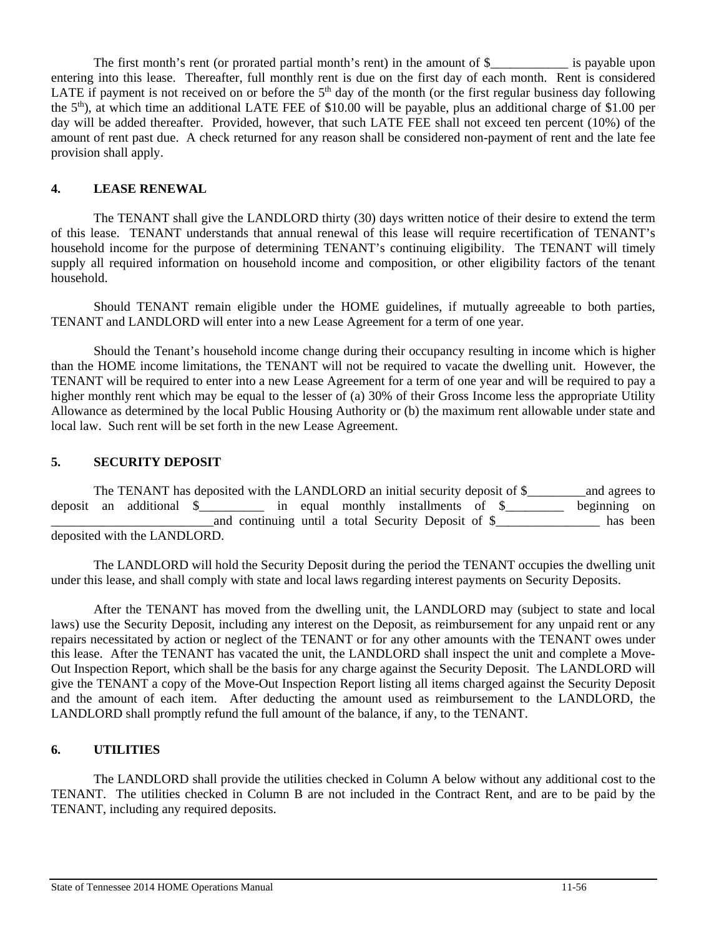The first month's rent (or prorated partial month's rent) in the amount of \$\_\_\_\_\_\_\_\_\_\_\_\_\_\_ is payable upon entering into this lease. Thereafter, full monthly rent is due on the first day of each month. Rent is considered LATE if payment is not received on or before the  $5<sup>th</sup>$  day of the month (or the first regular business day following the  $5<sup>th</sup>$ ), at which time an additional LATE FEE of \$10.00 will be payable, plus an additional charge of \$1.00 per day will be added thereafter. Provided, however, that such LATE FEE shall not exceed ten percent (10%) of the amount of rent past due. A check returned for any reason shall be considered non-payment of rent and the late fee provision shall apply.

# **4. LEASE RENEWAL**

The TENANT shall give the LANDLORD thirty (30) days written notice of their desire to extend the term of this lease. TENANT understands that annual renewal of this lease will require recertification of TENANT's household income for the purpose of determining TENANT's continuing eligibility. The TENANT will timely supply all required information on household income and composition, or other eligibility factors of the tenant household.

Should TENANT remain eligible under the HOME guidelines, if mutually agreeable to both parties, TENANT and LANDLORD will enter into a new Lease Agreement for a term of one year.

Should the Tenant's household income change during their occupancy resulting in income which is higher than the HOME income limitations, the TENANT will not be required to vacate the dwelling unit. However, the TENANT will be required to enter into a new Lease Agreement for a term of one year and will be required to pay a higher monthly rent which may be equal to the lesser of (a) 30% of their Gross Income less the appropriate Utility Allowance as determined by the local Public Housing Authority or (b) the maximum rent allowable under state and local law. Such rent will be set forth in the new Lease Agreement.

# **5. SECURITY DEPOSIT**

The TENANT has deposited with the LANDLORD an initial security deposit of \$\_\_\_\_\_\_\_\_\_and agrees to deposit an additional \$\_\_\_\_\_\_\_\_\_\_ in equal monthly installments of \$\_\_\_\_\_\_\_\_\_ beginning on \_\_\_\_\_\_\_\_\_\_\_\_\_\_\_\_\_\_\_\_\_\_\_\_\_and continuing until a total Security Deposit of \$\_\_\_\_\_\_\_\_\_\_\_\_\_\_\_\_ has been deposited with the LANDLORD.

The LANDLORD will hold the Security Deposit during the period the TENANT occupies the dwelling unit under this lease, and shall comply with state and local laws regarding interest payments on Security Deposits.

After the TENANT has moved from the dwelling unit, the LANDLORD may (subject to state and local laws) use the Security Deposit, including any interest on the Deposit, as reimbursement for any unpaid rent or any repairs necessitated by action or neglect of the TENANT or for any other amounts with the TENANT owes under this lease. After the TENANT has vacated the unit, the LANDLORD shall inspect the unit and complete a Move-Out Inspection Report, which shall be the basis for any charge against the Security Deposit. The LANDLORD will give the TENANT a copy of the Move-Out Inspection Report listing all items charged against the Security Deposit and the amount of each item. After deducting the amount used as reimbursement to the LANDLORD, the LANDLORD shall promptly refund the full amount of the balance, if any, to the TENANT.

#### **6. UTILITIES**

The LANDLORD shall provide the utilities checked in Column A below without any additional cost to the TENANT. The utilities checked in Column B are not included in the Contract Rent, and are to be paid by the TENANT, including any required deposits.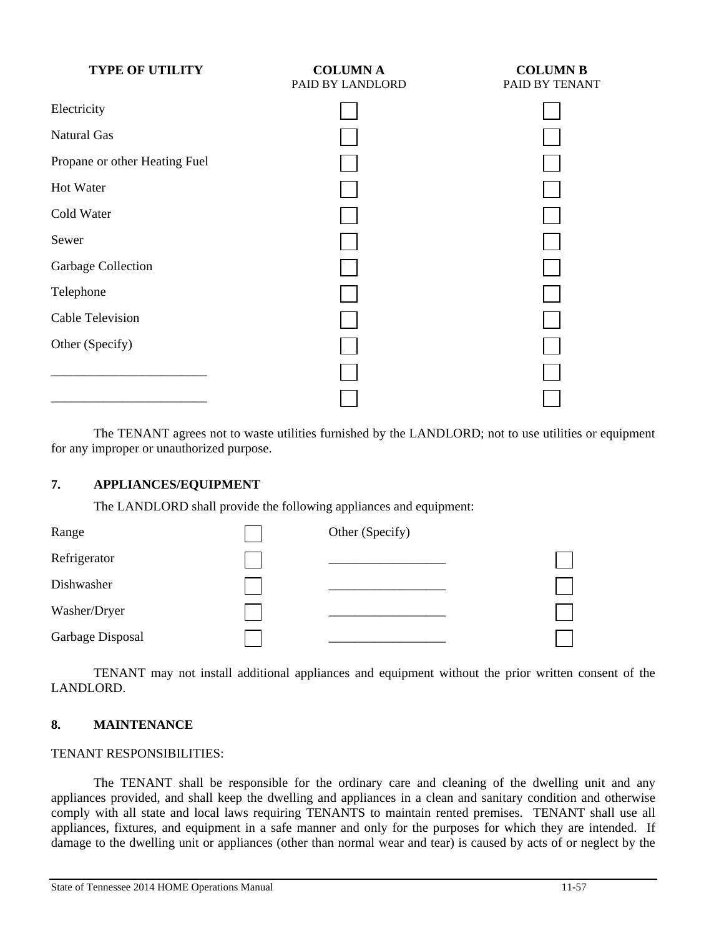| <b>TYPE OF UTILITY</b>        | <b>COLUMN A</b><br>PAID BY LANDLORD | <b>COLUMN B</b><br>PAID BY TENANT |
|-------------------------------|-------------------------------------|-----------------------------------|
| Electricity                   |                                     |                                   |
| <b>Natural Gas</b>            |                                     |                                   |
| Propane or other Heating Fuel |                                     |                                   |
| <b>Hot Water</b>              |                                     |                                   |
| Cold Water                    |                                     |                                   |
| Sewer                         |                                     |                                   |
| Garbage Collection            |                                     |                                   |
| Telephone                     |                                     |                                   |
| <b>Cable Television</b>       |                                     |                                   |
| Other (Specify)               |                                     |                                   |
|                               |                                     |                                   |
|                               |                                     |                                   |

 The TENANT agrees not to waste utilities furnished by the LANDLORD; not to use utilities or equipment for any improper or unauthorized purpose.

# **7. APPLIANCES/EQUIPMENT**

The LANDLORD shall provide the following appliances and equipment:



 TENANT may not install additional appliances and equipment without the prior written consent of the LANDLORD.

#### **8. MAINTENANCE**

#### TENANT RESPONSIBILITIES:

 The TENANT shall be responsible for the ordinary care and cleaning of the dwelling unit and any appliances provided, and shall keep the dwelling and appliances in a clean and sanitary condition and otherwise comply with all state and local laws requiring TENANTS to maintain rented premises. TENANT shall use all appliances, fixtures, and equipment in a safe manner and only for the purposes for which they are intended. If damage to the dwelling unit or appliances (other than normal wear and tear) is caused by acts of or neglect by the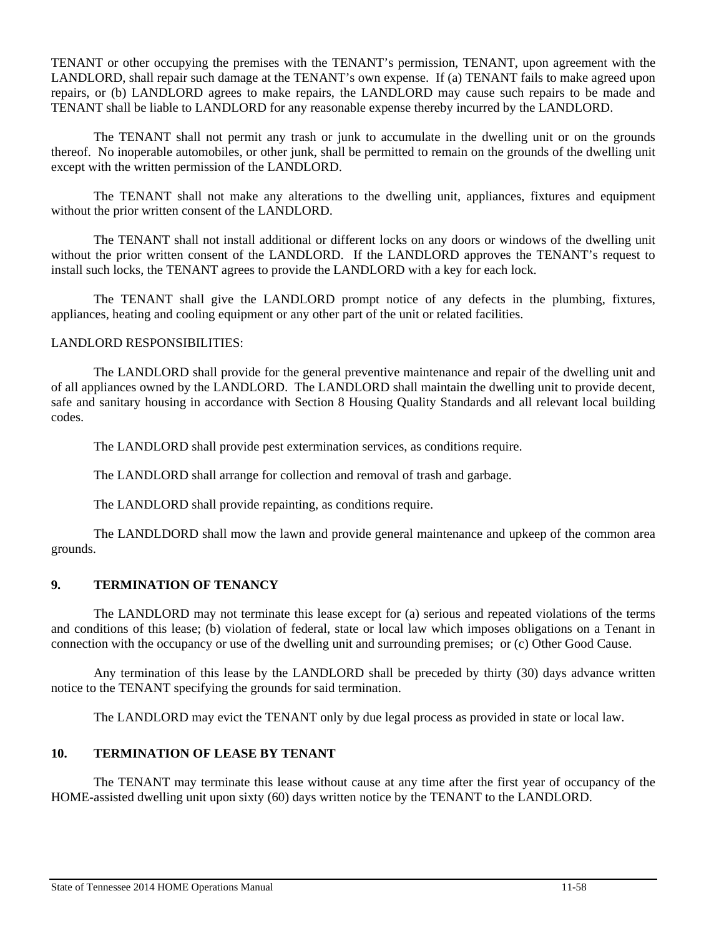TENANT or other occupying the premises with the TENANT's permission, TENANT, upon agreement with the LANDLORD, shall repair such damage at the TENANT's own expense. If (a) TENANT fails to make agreed upon repairs, or (b) LANDLORD agrees to make repairs, the LANDLORD may cause such repairs to be made and TENANT shall be liable to LANDLORD for any reasonable expense thereby incurred by the LANDLORD.

 The TENANT shall not permit any trash or junk to accumulate in the dwelling unit or on the grounds thereof. No inoperable automobiles, or other junk, shall be permitted to remain on the grounds of the dwelling unit except with the written permission of the LANDLORD.

 The TENANT shall not make any alterations to the dwelling unit, appliances, fixtures and equipment without the prior written consent of the LANDLORD.

 The TENANT shall not install additional or different locks on any doors or windows of the dwelling unit without the prior written consent of the LANDLORD. If the LANDLORD approves the TENANT's request to install such locks, the TENANT agrees to provide the LANDLORD with a key for each lock.

 The TENANT shall give the LANDLORD prompt notice of any defects in the plumbing, fixtures, appliances, heating and cooling equipment or any other part of the unit or related facilities.

# LANDLORD RESPONSIBILITIES:

 The LANDLORD shall provide for the general preventive maintenance and repair of the dwelling unit and of all appliances owned by the LANDLORD. The LANDLORD shall maintain the dwelling unit to provide decent, safe and sanitary housing in accordance with Section 8 Housing Quality Standards and all relevant local building codes.

The LANDLORD shall provide pest extermination services, as conditions require.

The LANDLORD shall arrange for collection and removal of trash and garbage.

The LANDLORD shall provide repainting, as conditions require.

 The LANDLDORD shall mow the lawn and provide general maintenance and upkeep of the common area grounds.

# **9. TERMINATION OF TENANCY**

 The LANDLORD may not terminate this lease except for (a) serious and repeated violations of the terms and conditions of this lease; (b) violation of federal, state or local law which imposes obligations on a Tenant in connection with the occupancy or use of the dwelling unit and surrounding premises; or (c) Other Good Cause.

 Any termination of this lease by the LANDLORD shall be preceded by thirty (30) days advance written notice to the TENANT specifying the grounds for said termination.

The LANDLORD may evict the TENANT only by due legal process as provided in state or local law.

#### **10. TERMINATION OF LEASE BY TENANT**

 The TENANT may terminate this lease without cause at any time after the first year of occupancy of the HOME-assisted dwelling unit upon sixty (60) days written notice by the TENANT to the LANDLORD.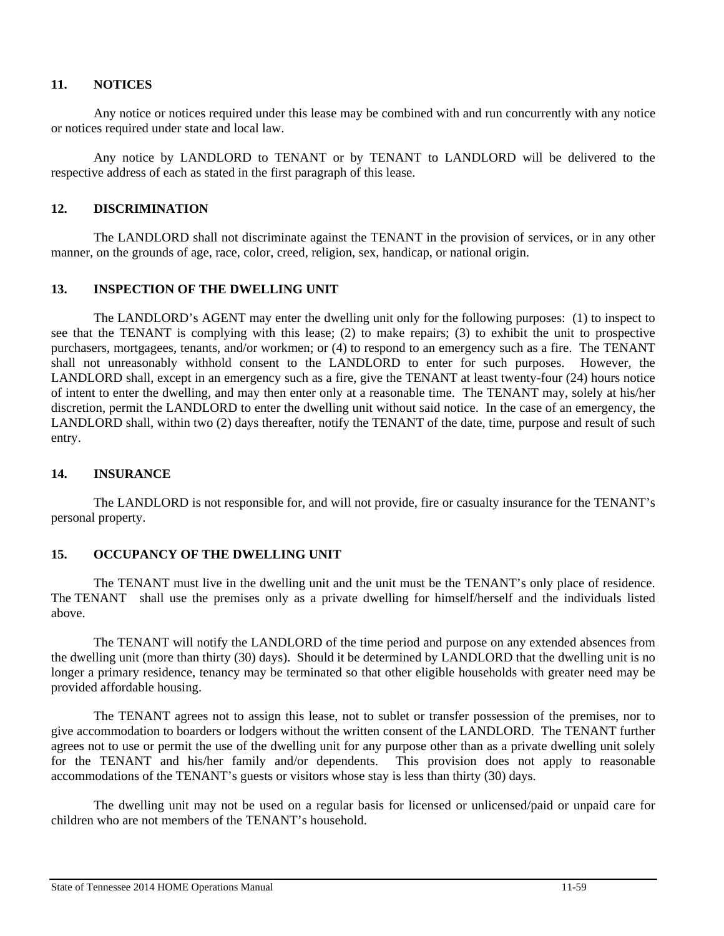# **11. NOTICES**

 Any notice or notices required under this lease may be combined with and run concurrently with any notice or notices required under state and local law.

 Any notice by LANDLORD to TENANT or by TENANT to LANDLORD will be delivered to the respective address of each as stated in the first paragraph of this lease.

# **12. DISCRIMINATION**

 The LANDLORD shall not discriminate against the TENANT in the provision of services, or in any other manner, on the grounds of age, race, color, creed, religion, sex, handicap, or national origin.

# **13. INSPECTION OF THE DWELLING UNIT**

 The LANDLORD's AGENT may enter the dwelling unit only for the following purposes: (1) to inspect to see that the TENANT is complying with this lease; (2) to make repairs; (3) to exhibit the unit to prospective purchasers, mortgagees, tenants, and/or workmen; or (4) to respond to an emergency such as a fire. The TENANT shall not unreasonably withhold consent to the LANDLORD to enter for such purposes. However, the LANDLORD shall, except in an emergency such as a fire, give the TENANT at least twenty-four (24) hours notice of intent to enter the dwelling, and may then enter only at a reasonable time. The TENANT may, solely at his/her discretion, permit the LANDLORD to enter the dwelling unit without said notice. In the case of an emergency, the LANDLORD shall, within two (2) days thereafter, notify the TENANT of the date, time, purpose and result of such entry.

#### **14. INSURANCE**

 The LANDLORD is not responsible for, and will not provide, fire or casualty insurance for the TENANT's personal property.

#### **15. OCCUPANCY OF THE DWELLING UNIT**

 The TENANT must live in the dwelling unit and the unit must be the TENANT's only place of residence. The TENANT shall use the premises only as a private dwelling for himself/herself and the individuals listed above.

 The TENANT will notify the LANDLORD of the time period and purpose on any extended absences from the dwelling unit (more than thirty (30) days). Should it be determined by LANDLORD that the dwelling unit is no longer a primary residence, tenancy may be terminated so that other eligible households with greater need may be provided affordable housing.

 The TENANT agrees not to assign this lease, not to sublet or transfer possession of the premises, nor to give accommodation to boarders or lodgers without the written consent of the LANDLORD. The TENANT further agrees not to use or permit the use of the dwelling unit for any purpose other than as a private dwelling unit solely for the TENANT and his/her family and/or dependents. This provision does not apply to reasonable accommodations of the TENANT's guests or visitors whose stay is less than thirty (30) days.

 The dwelling unit may not be used on a regular basis for licensed or unlicensed/paid or unpaid care for children who are not members of the TENANT's household.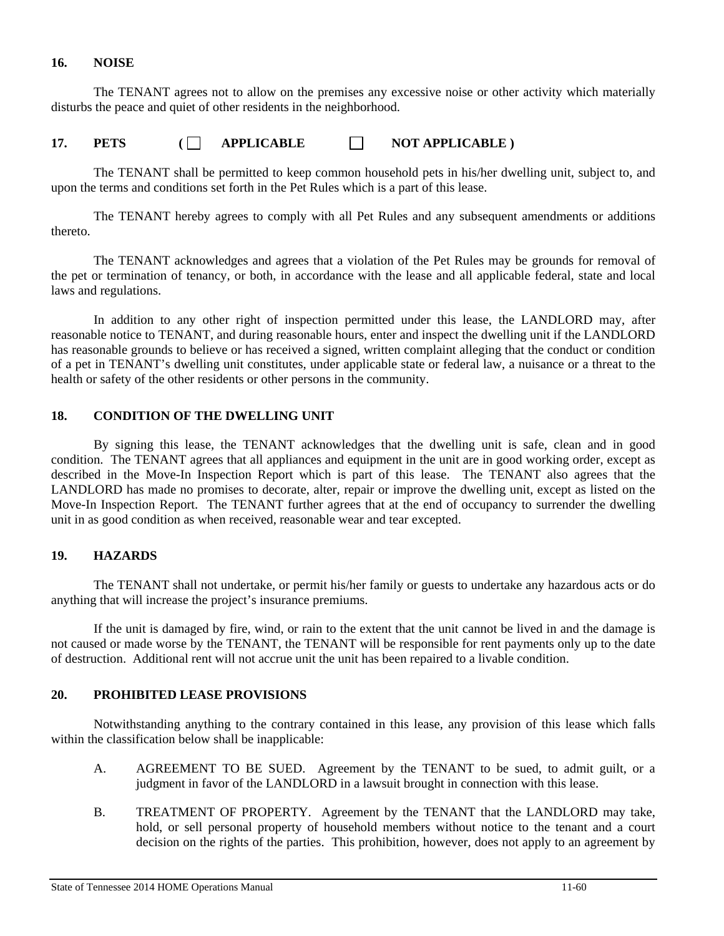#### **16. NOISE**

 The TENANT agrees not to allow on the premises any excessive noise or other activity which materially disturbs the peace and quiet of other residents in the neighborhood.

# 17. PETS ( APPLICABLE ) NOT APPLICABLE )

 The TENANT shall be permitted to keep common household pets in his/her dwelling unit, subject to, and upon the terms and conditions set forth in the Pet Rules which is a part of this lease.

 The TENANT hereby agrees to comply with all Pet Rules and any subsequent amendments or additions thereto.

 The TENANT acknowledges and agrees that a violation of the Pet Rules may be grounds for removal of the pet or termination of tenancy, or both, in accordance with the lease and all applicable federal, state and local laws and regulations.

 In addition to any other right of inspection permitted under this lease, the LANDLORD may, after reasonable notice to TENANT, and during reasonable hours, enter and inspect the dwelling unit if the LANDLORD has reasonable grounds to believe or has received a signed, written complaint alleging that the conduct or condition of a pet in TENANT's dwelling unit constitutes, under applicable state or federal law, a nuisance or a threat to the health or safety of the other residents or other persons in the community.

# **18. CONDITION OF THE DWELLING UNIT**

 By signing this lease, the TENANT acknowledges that the dwelling unit is safe, clean and in good condition. The TENANT agrees that all appliances and equipment in the unit are in good working order, except as described in the Move-In Inspection Report which is part of this lease. The TENANT also agrees that the LANDLORD has made no promises to decorate, alter, repair or improve the dwelling unit, except as listed on the Move-In Inspection Report. The TENANT further agrees that at the end of occupancy to surrender the dwelling unit in as good condition as when received, reasonable wear and tear excepted.

# **19. HAZARDS**

 The TENANT shall not undertake, or permit his/her family or guests to undertake any hazardous acts or do anything that will increase the project's insurance premiums.

 If the unit is damaged by fire, wind, or rain to the extent that the unit cannot be lived in and the damage is not caused or made worse by the TENANT, the TENANT will be responsible for rent payments only up to the date of destruction. Additional rent will not accrue unit the unit has been repaired to a livable condition.

# **20. PROHIBITED LEASE PROVISIONS**

 Notwithstanding anything to the contrary contained in this lease, any provision of this lease which falls within the classification below shall be inapplicable:

- A. AGREEMENT TO BE SUED. Agreement by the TENANT to be sued, to admit guilt, or a judgment in favor of the LANDLORD in a lawsuit brought in connection with this lease.
- B. TREATMENT OF PROPERTY. Agreement by the TENANT that the LANDLORD may take, hold, or sell personal property of household members without notice to the tenant and a court decision on the rights of the parties. This prohibition, however, does not apply to an agreement by